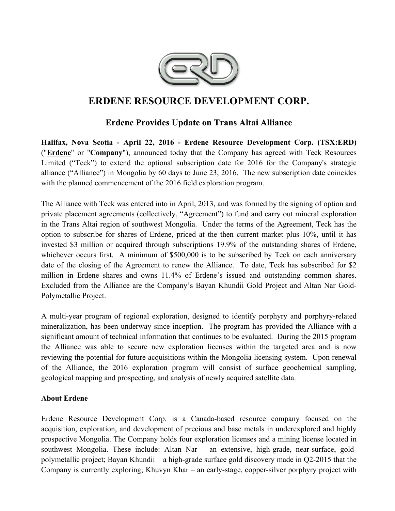

# **ERDENE RESOURCE DEVELOPMENT CORP.**

## **Erdene Provides Update on Trans Altai Alliance**

**Halifax, Nova Scotia - April 22, 2016 - Erdene Resource Development Corp. (TSX:ERD)**  ("**Erdene**" or "**Company**"), announced today that the Company has agreed with Teck Resources Limited ("Teck") to extend the optional subscription date for 2016 for the Company's strategic alliance ("Alliance") in Mongolia by 60 days to June 23, 2016. The new subscription date coincides with the planned commencement of the 2016 field exploration program.

The Alliance with Teck was entered into in April, 2013, and was formed by the signing of option and private placement agreements (collectively, "Agreement") to fund and carry out mineral exploration in the Trans Altai region of southwest Mongolia. Under the terms of the Agreement, Teck has the option to subscribe for shares of Erdene, priced at the then current market plus 10%, until it has invested \$3 million or acquired through subscriptions 19.9% of the outstanding shares of Erdene, whichever occurs first. A minimum of \$500,000 is to be subscribed by Teck on each anniversary date of the closing of the Agreement to renew the Alliance. To date, Teck has subscribed for \$2 million in Erdene shares and owns 11.4% of Erdene's issued and outstanding common shares. Excluded from the Alliance are the Company's Bayan Khundii Gold Project and Altan Nar Gold-Polymetallic Project.

A multi-year program of regional exploration, designed to identify porphyry and porphyry-related mineralization, has been underway since inception. The program has provided the Alliance with a significant amount of technical information that continues to be evaluated. During the 2015 program the Alliance was able to secure new exploration licenses within the targeted area and is now reviewing the potential for future acquisitions within the Mongolia licensing system. Upon renewal of the Alliance, the 2016 exploration program will consist of surface geochemical sampling, geological mapping and prospecting, and analysis of newly acquired satellite data.

#### **About Erdene**

Erdene Resource Development Corp. is a Canada-based resource company focused on the acquisition, exploration, and development of precious and base metals in underexplored and highly prospective Mongolia. The Company holds four exploration licenses and a mining license located in southwest Mongolia. These include: Altan Nar – an extensive, high-grade, near-surface, goldpolymetallic project; Bayan Khundii – a high-grade surface gold discovery made in Q2-2015 that the Company is currently exploring; Khuvyn Khar – an early-stage, copper-silver porphyry project with